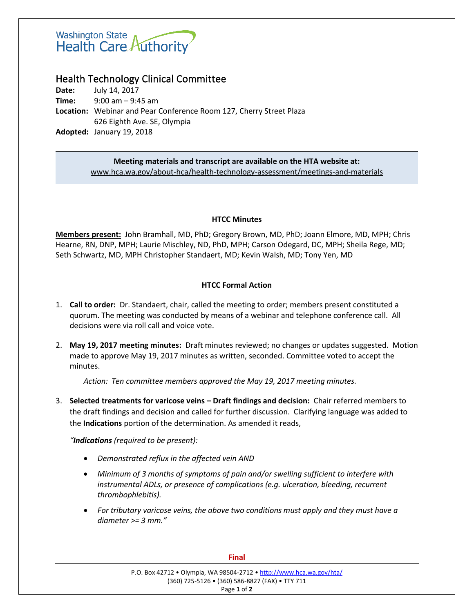# Washington State<br>Health Care Authority

## Health Technology Clinical Committee

**Date:** July 14, 2017 **Time:** 9:00 am – 9:45 am **Location:** Webinar and Pear Conference Room 127, Cherry Street Plaza 626 Eighth Ave. SE, Olympia **Adopted:** January 19, 2018

#### **Meeting materials and transcript are available on the HTA website at:** [www.hca.wa.gov/about-hca/health-technology-assessment/meetings-and-materials](http://www.hca.wa.gov/about-hca/health-technology-assessment/meetings-and-materials)

### **HTCC Minutes**

**Members present:** John Bramhall, MD, PhD; Gregory Brown, MD, PhD; Joann Elmore, MD, MPH; Chris Hearne, RN, DNP, MPH; Laurie Mischley, ND, PhD, MPH; Carson Odegard, DC, MPH; Sheila Rege, MD; Seth Schwartz, MD, MPH Christopher Standaert, MD; Kevin Walsh, MD; Tony Yen, MD

### **HTCC Formal Action**

- 1. **Call to order:** Dr. Standaert, chair, called the meeting to order; members present constituted a quorum. The meeting was conducted by means of a webinar and telephone conference call. All decisions were via roll call and voice vote.
- 2. **May 19, 2017 meeting minutes:** Draft minutes reviewed; no changes or updates suggested. Motion made to approve May 19, 2017 minutes as written, seconded. Committee voted to accept the minutes.

*Action: Ten committee members approved the May 19, 2017 meeting minutes.*

3. **Selected treatments for varicose veins – Draft findings and decision:** Chair referred members to the draft findings and decision and called for further discussion. Clarifying language was added to the **Indications** portion of the determination. As amended it reads,

*"Indications (required to be present):* 

- *Demonstrated reflux in the affected vein AND*
- *Minimum of 3 months of symptoms of pain and/or swelling sufficient to interfere with instrumental ADLs, or presence of complications (e.g. ulceration, bleeding, recurrent thrombophlebitis).*
- *For tributary varicose veins, the above two conditions must apply and they must have a diameter >= 3 mm."*

#### **Final**